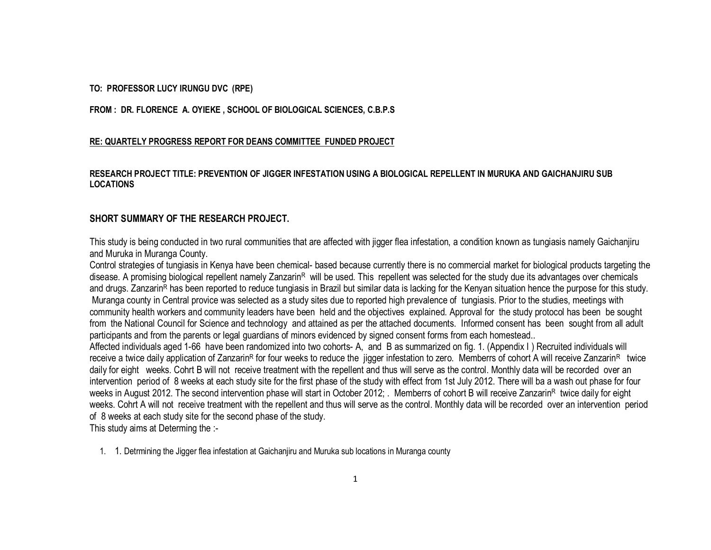#### **TO: PROFESSOR LUCY IRUNGU DVC (RPE)**

**FROM : DR. FLORENCE A. OYIEKE , SCHOOL OF BIOLOGICAL SCIENCES, C.B.P.S**

#### **RE: QUARTELY PROGRESS REPORT FOR DEANS COMMITTEE FUNDED PROJECT**

## **RESEARCH PROJECT TITLE: PREVENTION OF JIGGER INFESTATION USING A BIOLOGICAL REPELLENT IN MURUKA AND GAICHANJIRU SUB LOCATIONS**

### **SHORT SUMMARY OF THE RESEARCH PROJECT.**

This study is being conducted in two rural communities that are affected with jigger flea infestation, a condition known as tungiasis namely Gaichanjiru and Muruka in Muranga County.

Control strategies of tungiasis in Kenya have been chemical- based because currently there is no commercial market for biological products targeting the disease. A promising biological repellent namely Zanzarin<sup>R</sup> will be used. This repellent was selected for the study due its advantages over chemicals and drugs. Zanzarin<sup>R</sup> has been reported to reduce tungiasis in Brazil but similar data is lacking for the Kenyan situation hence the purpose for this study. Muranga county in Central provice was selected as a study sites due to reported high prevalence of tungiasis. Prior to the studies, meetings with community health workers and community leaders have been held and the objectives explained. Approval for the study protocol has been be sought from the National Council for Science and technology and attained as per the attached documents. Informed consent has been sought from all adult participants and from the parents or legal guardians of minors evidenced by signed consent forms from each homestead..

Affected individuals aged 1-66 have been randomized into two cohorts- A, and B as summarized on fig. 1. (Appendix I ) Recruited individuals will receive a twice daily application of Zanzarin<sup>R</sup> for four weeks to reduce the jigger infestation to zero. Memberrs of cohort A will receive Zanzarin<sup>R</sup> twice daily for eight weeks. Cohrt B will not receive treatment with the repellent and thus will serve as the control. Monthly data will be recorded over an intervention period of 8 weeks at each study site for the first phase of the study with effect from 1st July 2012. There will ba a wash out phase for four weeks in August 2012. The second intervention phase will start in October 2012; . Memberrs of cohort B will receive Zanzarin<sup>R</sup> twice daily for eight weeks. Cohrt A will not receive treatment with the repellent and thus will serve as the control. Monthly data will be recorded over an intervention period of 8 weeks at each study site for the second phase of the study.

This study aims at Determing the :-

1. 1. Detrmining the Jigger flea infestation at Gaichanjiru and Muruka sub locations in Muranga county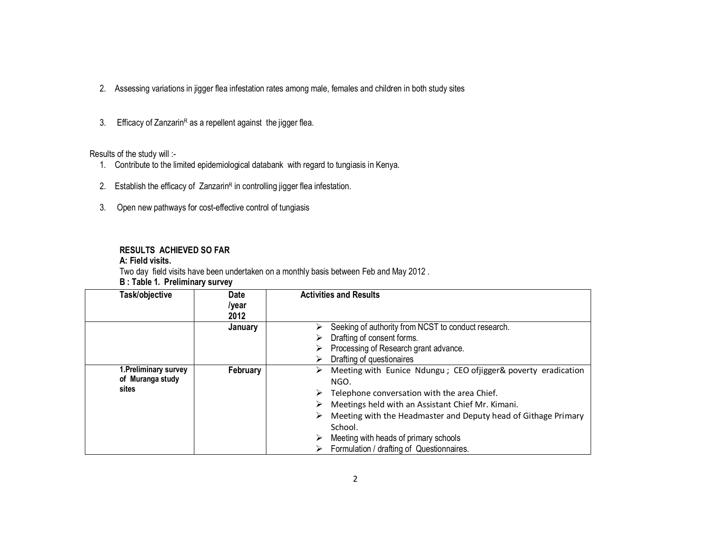- 2. Assessing variations in jigger flea infestation rates among male, females and children in both study sites
- 3. Efficacy of Zanzarin $R$  as a repellent against the jigger flea.

## Results of the study will :-

- 1. Contribute to the limited epidemiological databank with regard to tungiasis in Kenya.
- 2. Establish the efficacy of Zanzarin<sup>R</sup> in controlling jigger flea infestation.
- 3. Open new pathways for cost-effective control of tungiasis

## **RESULTS ACHIEVED SO FAR**

#### **A: Field visits.**

Two day field visits have been undertaken on a monthly basis between Feb and May 2012 .

### **B : Table 1. Preliminary survey**

| Task/objective                            | <b>Date</b><br>/year<br>2012 | <b>Activities and Results</b>                                                  |
|-------------------------------------------|------------------------------|--------------------------------------------------------------------------------|
|                                           | January                      | Seeking of authority from NCST to conduct research.<br>➤                       |
|                                           |                              | Drafting of consent forms.<br>➤                                                |
|                                           |                              | Processing of Research grant advance.<br>⋗                                     |
|                                           |                              | Drafting of questionaires<br>⋗                                                 |
| 1. Preliminary survey<br>of Muranga study | February                     | Meeting with Eunice Ndungu; CEO ofjigger& poverty eradication<br>⋗<br>NGO.     |
| sites                                     |                              | Telephone conversation with the area Chief.<br>➤                               |
|                                           |                              | Meetings held with an Assistant Chief Mr. Kimani.<br>➤                         |
|                                           |                              | Meeting with the Headmaster and Deputy head of Githage Primary<br>➤<br>School. |
|                                           |                              | Meeting with heads of primary schools<br>⋗                                     |
|                                           |                              | $\triangleright$ Formulation / drafting of Questionnaires.                     |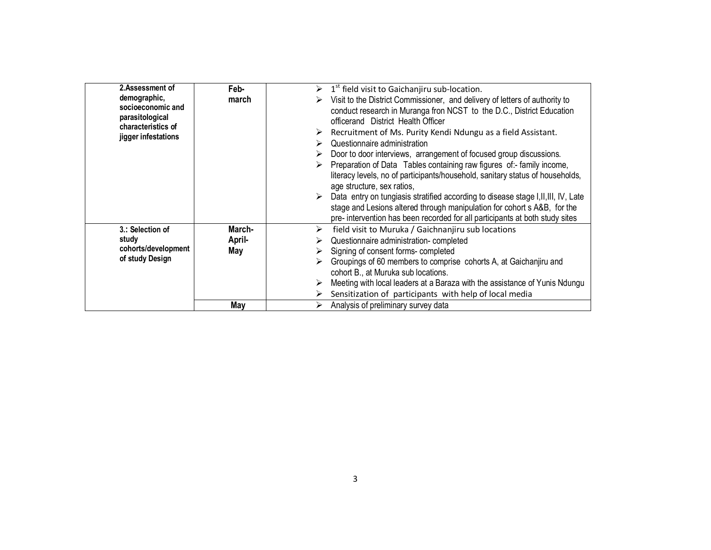| 2.Assessment of<br>demographic,<br>socioeconomic and<br>parasitological<br>characteristics of<br>jigger infestations | Feb-<br>march    | 1 <sup>st</sup> field visit to Gaichanjiru sub-location.<br>Visit to the District Commissioner, and delivery of letters of authority to<br>conduct research in Muranga fron NCST to the D.C., District Education<br>officerand District Health Officer<br>Recruitment of Ms. Purity Kendi Ndungu as a field Assistant.<br>➤<br>Questionnaire administration<br>Door to door interviews, arrangement of focused group discussions.<br>Preparation of Data Tables containing raw figures of:- family income,<br>literacy levels, no of participants/household, sanitary status of households,<br>age structure, sex ratios,<br>Data entry on tungiasis stratified according to disease stage I, II, III, IV, Late<br>➤<br>stage and Lesions altered through manipulation for cohort s A&B, for the<br>pre- intervention has been recorded for all participants at both study sites |
|----------------------------------------------------------------------------------------------------------------------|------------------|----------------------------------------------------------------------------------------------------------------------------------------------------------------------------------------------------------------------------------------------------------------------------------------------------------------------------------------------------------------------------------------------------------------------------------------------------------------------------------------------------------------------------------------------------------------------------------------------------------------------------------------------------------------------------------------------------------------------------------------------------------------------------------------------------------------------------------------------------------------------------------|
| 3.: Selection of<br>study                                                                                            | March-<br>April- | field visit to Muruka / Gaichnanjiru sub locations<br>➤<br>Questionnaire administration-completed                                                                                                                                                                                                                                                                                                                                                                                                                                                                                                                                                                                                                                                                                                                                                                                |
| cohorts/development<br>of study Design                                                                               | May              | Signing of consent forms-completed                                                                                                                                                                                                                                                                                                                                                                                                                                                                                                                                                                                                                                                                                                                                                                                                                                               |
|                                                                                                                      |                  | Groupings of 60 members to comprise cohorts A, at Gaichanjiru and<br>cohort B., at Muruka sub locations.                                                                                                                                                                                                                                                                                                                                                                                                                                                                                                                                                                                                                                                                                                                                                                         |
|                                                                                                                      |                  | Meeting with local leaders at a Baraza with the assistance of Yunis Ndungu                                                                                                                                                                                                                                                                                                                                                                                                                                                                                                                                                                                                                                                                                                                                                                                                       |
|                                                                                                                      |                  | Sensitization of participants with help of local media                                                                                                                                                                                                                                                                                                                                                                                                                                                                                                                                                                                                                                                                                                                                                                                                                           |
|                                                                                                                      | May              | Analysis of preliminary survey data<br>≻                                                                                                                                                                                                                                                                                                                                                                                                                                                                                                                                                                                                                                                                                                                                                                                                                                         |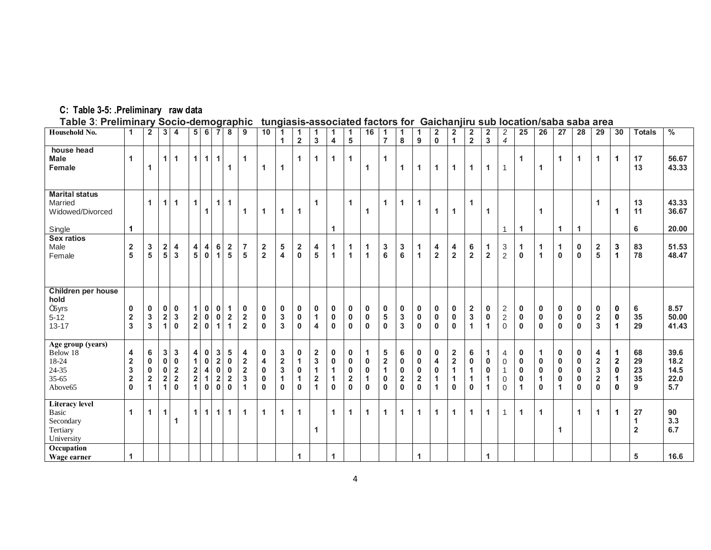#### **C: Table 3-5: .Preliminary raw data**

**Table 3**: **Preliminary Socio-demographic tungiasis-associated factors for Gaichanjiru sub location/saba saba area**

| Household No.                                                                       | 1                                                     | $\overline{2}$                                                             | 3                                                  | $\overline{4}$                                                                       | 5                                                                 | 6 <sup>1</sup>                            | 7                                                                                  | 8                                                                  | 9                                                   | 10                                        | 1<br>1                                               | $\mathbf 1$<br>$\overline{2}$              | $\mathbf 1$<br>$\mathbf{3}$                                                                    | 1<br>$\overline{4}$                                           | $\mathbf{1}$<br>5                         | 16                          | $\mathbf{1}$<br>$\overline{7}$                               | 1<br>8                                                    | 1<br>9                                                       | $\overline{2}$<br>$\mathbf 0$    | $\mathbf{2}$<br>$\mathbf{1}$                                   | $\mathbf{2}$<br>$\overline{2}$    | $\overline{\mathbf{c}}$<br>$\overline{\mathbf{3}}$ | $\overline{\mathbf{c}}$<br>$\overline{4}$                                           | 25                                                       | 26                                                     | 27                                                                               | 28                                                                       | 29                                                            | 30                                                                | <b>Totals</b>             | $\frac{0}{6}$                       |
|-------------------------------------------------------------------------------------|-------------------------------------------------------|----------------------------------------------------------------------------|----------------------------------------------------|--------------------------------------------------------------------------------------|-------------------------------------------------------------------|-------------------------------------------|------------------------------------------------------------------------------------|--------------------------------------------------------------------|-----------------------------------------------------|-------------------------------------------|------------------------------------------------------|--------------------------------------------|------------------------------------------------------------------------------------------------|---------------------------------------------------------------|-------------------------------------------|-----------------------------|--------------------------------------------------------------|-----------------------------------------------------------|--------------------------------------------------------------|----------------------------------|----------------------------------------------------------------|-----------------------------------|----------------------------------------------------|-------------------------------------------------------------------------------------|----------------------------------------------------------|--------------------------------------------------------|----------------------------------------------------------------------------------|--------------------------------------------------------------------------|---------------------------------------------------------------|-------------------------------------------------------------------|---------------------------|-------------------------------------|
| house head<br><b>Male</b><br>Female                                                 | 1                                                     | 1                                                                          | $\mathbf{1}$                                       | $\blacktriangleleft$                                                                 | 1                                                                 | 1 <sup>1</sup>                            | $\mathbf{1}$                                                                       | $\mathbf 1$                                                        | $\mathbf{1}$                                        | 1                                         | $\mathbf 1$                                          | 1                                          | $\blacktriangleleft$                                                                           | 1                                                             | $\mathbf{1}$                              | 1                           | $\mathbf{1}$                                                 | 1                                                         | 1                                                            | 1                                | 1                                                              | 1                                 | 1                                                  | $\overline{1}$                                                                      | 1                                                        | 1                                                      | 1                                                                                | $\overline{1}$                                                           | 1                                                             | $\mathbf{1}$                                                      | 17<br>13                  | 56.67<br>43.33                      |
| <b>Marital status</b><br>Married<br>Widowed/Divorced<br>Single                      | 1                                                     | $\mathbf{1}$                                                               | $\mathbf{1}$                                       | 1                                                                                    | 1                                                                 | 1                                         | $\overline{1}$                                                                     | $\overline{1}$                                                     | $\overline{1}$                                      | 1                                         | $\mathbf{1}$                                         | $\mathbf{1}$                               | $\blacktriangleleft$                                                                           | $\mathbf{1}$                                                  | $\mathbf{1}$                              | 1                           | $\mathbf{1}$                                                 | 1                                                         | $\mathbf{1}$                                                 | 1                                | 1                                                              | 1                                 | $\mathbf{1}$                                       | 1                                                                                   | $\mathbf{1}$                                             | $\mathbf{1}$                                           | $\mathbf 1$                                                                      | $\overline{1}$                                                           | $\mathbf 1$                                                   | 1                                                                 | 13<br>11<br>6             | 43.33<br>36.67<br>20.00             |
| <b>Sex ratios</b><br>Male<br>Female                                                 | $\mathbf 2$<br>5                                      | 3<br>5                                                                     | $\overline{\mathbf{2}}$<br>5                       | 4<br>$\overline{3}$                                                                  | 4<br>5                                                            | 4<br>$\mathbf 0$                          | 6<br>1                                                                             | $\overline{\mathbf{2}}$<br>5                                       | $\overline{\mathbf{7}}$<br>5                        | $\overline{\mathbf{2}}$<br>$\overline{2}$ | 5<br>4                                               | $\overline{2}$<br>$\mathbf 0$              | 4<br>5                                                                                         | 1<br>$\mathbf{1}$                                             | 1<br>1                                    | 1<br>1                      | 3<br>6                                                       | 3<br>6                                                    | 1<br>1                                                       | 4<br>$\overline{2}$              | 4<br>$\overline{\mathbf{2}}$                                   | 6<br>$\overline{2}$               | $\mathbf{1}$<br>$\overline{\mathbf{2}}$            | $\ensuremath{\mathsf{3}}$<br>$\overline{2}$                                         | $\mathbf{1}$<br>$\mathbf 0$                              | $\mathbf{1}$<br>$\mathbf{1}$                           | 1<br>$\mathbf 0$                                                                 | $\mathbf 0$<br>$\mathbf 0$                                               | $\mathbf{2}$<br>5                                             | $\mathbf 3$<br>$\mathbf{1}$                                       | 83<br>78                  | 51.53<br>48.47                      |
| Children per house<br>hold<br>m <sub>5yrs</sub><br>$5 - 12$<br>$13 - 17$            | $\mathbf 0$<br>$\overline{\mathbf{2}}$<br>3           | $\mathbf 0$<br>$\mathbf 3$<br>$\mathbf{3}$                                 | 0<br>$\mathbf 2$<br>$\mathbf{1}$                   | $\mathbf 0$<br>$\mathbf 3$<br>$\mathbf{0}$                                           | 1<br>$\mathbf 2$<br>$\overline{\mathbf{2}}$                       | 0<br>$\mathbf 0$<br>$\mathbf 0$           | $\bf{0}$<br>$\bf{0}$<br>1                                                          | $\mathbf 1$<br>$\mathbf 2$<br>$\mathbf{1}$                         | $\mathbf 0$<br>$\mathbf 2$<br>$\overline{2}$        | 0<br>$\pmb{0}$<br>$\bf{0}$                | 0<br>$\mathbf{3}$<br>3                               | 0<br>$\mathbf 0$<br>$\mathbf{0}$           | 0<br>$\mathbf{1}$<br>4                                                                         | 0<br>$\pmb{0}$<br>$\mathbf 0$                                 | 0<br>$\pmb{0}$<br>$\mathbf 0$             | 0<br>0<br>0                 | 0<br>5<br>$\mathbf 0$                                        | 0<br>$\mathbf{3}$<br>3                                    | 0<br>$\pmb{0}$<br>$\mathbf{0}$                               | 0<br>0<br>$\mathbf{0}$           | 0<br>0<br>0                                                    | $\overline{\mathbf{2}}$<br>3<br>1 | 0<br>$\pmb{0}$<br>1                                | $\sqrt{2}$<br>$\sqrt{2}$<br>$\mathbf 0$                                             | 0<br>$\pmb{0}$<br>$\mathbf 0$                            | $\bf{0}$<br>$\pmb{0}$<br>$\mathbf{0}$                  | $\mathbf 0$<br>$\pmb{0}$<br>$\mathbf{0}$                                         | $\mathbf 0$<br>$\pmb{0}$<br>$\mathbf{0}$                                 | $\mathbf 0$<br>$\mathbf 2$<br>$\mathbf{3}$                    | 0<br>$\pmb{0}$<br>$\blacktriangleleft$                            | 6<br>35<br>29             | 8.57<br>50.00<br>41.43              |
| Age group (years)<br>Below 18<br>18-24<br>24-35<br>$35 - 65$<br>Above <sub>65</sub> | 4<br>$\mathbf 2$<br>3<br>$\overline{\mathbf{2}}$<br>0 | 6<br>$\mathbf 0$<br>$\mathbf 0$<br>$\overline{\mathbf{2}}$<br>$\mathbf{1}$ | 3<br>$\pmb{0}$<br>0<br>$\mathbf 2$<br>$\mathbf{1}$ | $\mathbf 3$<br>$\mathbf 0$<br>$\overline{\mathbf{2}}$<br>$\mathbf 2$<br>$\mathbf{0}$ | 4<br>1<br>$\overline{\mathbf{2}}$<br>$\overline{\mathbf{2}}$<br>1 | 0<br>$\mathbf 0$<br>4<br>1<br>$\mathbf 0$ | 3<br>$\overline{\mathbf{2}}$<br>$\bf{0}$<br>$\overline{\mathbf{2}}$<br>$\mathbf 0$ | 5<br>$\boldsymbol{0}$<br>$\mathbf 0$<br>$\mathbf 2$<br>$\mathbf 0$ | 4<br>$\mathbf 2$<br>$\mathbf 2$<br>$\mathbf 3$<br>1 | 0<br>4<br>0<br>0<br>$\bf{0}$              | 3<br>$\mathbf 2$<br>3<br>$\mathbf 1$<br>$\mathbf{0}$ | 0<br>1<br>$\mathbf 0$<br>1<br>$\mathbf{0}$ | $\overline{\mathbf{2}}$<br>$\mathbf 3$<br>1<br>$\overline{\mathbf{2}}$<br>$\blacktriangleleft$ | 0<br>$\pmb{0}$<br>$\mathbf{1}$<br>$\mathbf{1}$<br>$\mathbf 0$ | 0<br>0<br>0<br>$\mathbf 2$<br>$\mathbf 0$ | 0<br>0<br>1<br>$\mathbf{0}$ | ${\bf 5}$<br>$\mathbf 2$<br>$\mathbf{1}$<br>0<br>$\mathbf 0$ | 6<br>$\bf{0}$<br>$\pmb{0}$<br>$\mathbf 2$<br>$\mathbf{0}$ | 0<br>$\mathbf 0$<br>$\pmb{0}$<br>$\mathbf 2$<br>$\mathbf{0}$ | 0<br>4<br>0<br>1<br>$\mathbf{1}$ | $\mathbf 2$<br>$\mathbf 2$<br>1<br>$\mathbf 1$<br>$\mathbf{0}$ | 6<br>0<br>1<br>1<br>$\mathbf 0$   | 1<br>0<br>0<br>1<br>1                              | $\overline{4}$<br>$\mathbf 0$<br>$\mathbf{1}$<br>$\mathsf{O}\xspace$<br>$\mathbf 0$ | 0<br>$\pmb{0}$<br>$\pmb{0}$<br>$\pmb{0}$<br>$\mathbf{1}$ | 1<br>$\bf{0}$<br>$\pmb{0}$<br>$\mathbf{1}$<br>$\bf{0}$ | $\mathbf 0$<br>$\mathbf 0$<br>$\mathbf 0$<br>$\mathbf 0$<br>$\blacktriangleleft$ | $\mathbf 0$<br>$\mathbf 0$<br>$\mathbf 0$<br>$\mathbf 0$<br>$\mathbf{0}$ | 4<br>$\mathbf 2$<br>$\mathbf 3$<br>$\mathbf 2$<br>$\mathbf 0$ | 1<br>$\boldsymbol{2}$<br>$\pmb{0}$<br>$\mathbf{1}$<br>$\mathbf 0$ | 68<br>29<br>23<br>35<br>9 | 39.6<br>18.2<br>14.5<br>22.0<br>5.7 |
| <b>Literacy level</b><br><b>Basic</b><br>Secondary<br>Tertiary<br>University        | 1                                                     | $\mathbf{1}$                                                               | 1                                                  | 1                                                                                    | $\mathbf{1}$                                                      | $\vert$ 1                                 | $\overline{1}$                                                                     | $\blacktriangleleft$                                               | 1                                                   | 1                                         | $\mathbf 1$                                          | $\blacktriangleleft$                       | $\blacktriangleleft$                                                                           | $\mathbf{1}$                                                  | $\blacktriangleleft$                      | 1                           | $\mathbf{1}$                                                 | $\mathbf{1}$                                              | $\mathbf{1}$                                                 | $\mathbf{1}$                     | $\blacktriangleleft$                                           | 1                                 | 1                                                  | $\overline{1}$                                                                      | $\mathbf{1}$                                             | $\mathbf{1}$                                           | 1                                                                                | $\overline{1}$                                                           | $\mathbf{1}$                                                  | $\mathbf{1}$                                                      | 27<br>1<br>$\mathbf{2}$   | 90<br>3.3<br>6.7                    |
| Occupation<br>Wage earner                                                           | 1                                                     |                                                                            |                                                    |                                                                                      |                                                                   |                                           |                                                                                    |                                                                    |                                                     |                                           |                                                      | $\blacktriangleleft$                       |                                                                                                | 1                                                             |                                           |                             |                                                              |                                                           | 1                                                            |                                  |                                                                |                                   | 1                                                  |                                                                                     |                                                          |                                                        |                                                                                  |                                                                          |                                                               |                                                                   | 5                         | 16.6                                |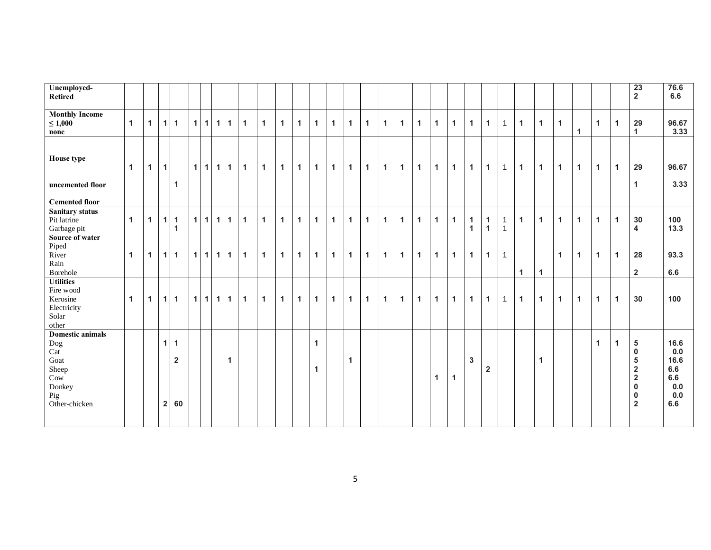| Unemployed-<br><b>Retired</b>                                |                |              |                |                               |   |             |              |              |              |              |              |                |                      |              |              |              |              |              |              |              |              |                              |                              |                              |              |              |                      |                      |                      |              | 23<br>$\overline{2}$                                                                       | 76.6<br>6.6                             |
|--------------------------------------------------------------|----------------|--------------|----------------|-------------------------------|---|-------------|--------------|--------------|--------------|--------------|--------------|----------------|----------------------|--------------|--------------|--------------|--------------|--------------|--------------|--------------|--------------|------------------------------|------------------------------|------------------------------|--------------|--------------|----------------------|----------------------|----------------------|--------------|--------------------------------------------------------------------------------------------|-----------------------------------------|
| <b>Monthly Income</b><br>$\leq 1,000$<br>none                | $\overline{1}$ | $\mathbf{1}$ | 1              | $\mathbf{1}$                  | 1 | 1           | $\mathbf{1}$ | $\mathbf{1}$ | $\mathbf{1}$ | $\mathbf{1}$ | $\mathbf{1}$ | $\mathbf{1}$   | $\mathbf{1}$         | $\mathbf{1}$ | $\mathbf{1}$ | $\mathbf{1}$ | $\mathbf{1}$ | $\mathbf 1$  | $\mathbf{1}$ | $\mathbf{1}$ | $\mathbf{1}$ | $\mathbf{1}$                 | $\mathbf{1}$                 | $\mathbf{1}$                 | $\mathbf{1}$ | $\mathbf{1}$ | $\mathbf{1}$         | $\mathbf{1}$         | $\mathbf{1}$         | $\mathbf 1$  | 29<br>$\mathbf{1}$                                                                         | 96.67<br>3.33                           |
| House type<br>uncemented floor                               | $\mathbf{1}$   | $\mathbf{1}$ | $\mathbf{1}$   | 1                             |   | $1 \vert 1$ | 1            | $\mathbf{1}$ | $\mathbf{1}$ | $\mathbf{1}$ | $\mathbf{1}$ | $\mathbf{1}$   | $\mathbf{1}$         | $\mathbf{1}$ | $\mathbf{1}$ | $\mathbf{1}$ | $\mathbf{1}$ | $\mathbf{1}$ | $\mathbf{1}$ | $\mathbf{1}$ | $\mathbf{1}$ | $\mathbf{1}$                 | $\mathbf{1}$                 | $\mathbf{1}$                 | $\mathbf{1}$ | $\mathbf{1}$ | $\mathbf{1}$         | $\mathbf{1}$         | $\mathbf{1}$         | $\mathbf{1}$ | 29<br>$\mathbf{1}$                                                                         | 96.67<br>3.33                           |
| <b>Cemented floor</b>                                        |                |              |                |                               |   |             |              |              |              |              |              |                |                      |              |              |              |              |              |              |              |              |                              |                              |                              |              |              |                      |                      |                      |              |                                                                                            |                                         |
| Sanitary status<br>Pit latrine<br>Garbage pit                | $\mathbf{1}$   | $\mathbf{1}$ | 1              | $\mathbf{1}$<br>1             |   | $1 \vert 1$ | 1            | $\mathbf{1}$ | $\mathbf{1}$ | $\mathbf{1}$ | $\mathbf{1}$ | $\mathbf{1}$   | $\overline{1}$       | $\mathbf{1}$ | $\mathbf{1}$ | $\mathbf{1}$ | $\mathbf{1}$ | $\mathbf{1}$ | $\mathbf{1}$ | $\mathbf{1}$ | $\mathbf{1}$ | $\mathbf{1}$<br>$\mathbf{1}$ | $\mathbf{1}$<br>$\mathbf{1}$ | $\mathbf{1}$<br>$\mathbf{1}$ | $\mathbf{1}$ | $\mathbf{1}$ | $\mathbf{1}$         | $\mathbf{1}$         | $\mathbf{1}$         | $\mathbf{1}$ | 30<br>4                                                                                    | 100<br>13.3                             |
| Source of water<br>Piped<br>River<br>Rain<br><b>Borehole</b> | $\mathbf{1}$   | $\mathbf 1$  |                | $1 \quad 1$                   |   | $1 \vert 1$ | 1            | $\mathbf{1}$ | $\mathbf{1}$ | $\mathbf{1}$ | $\mathbf{1}$ | $\overline{1}$ | $\overline{1}$       | $\mathbf{1}$ | $\mathbf{1}$ | $\mathbf{1}$ | $\mathbf{1}$ | $\mathbf{1}$ | $\mathbf{1}$ | $\mathbf{1}$ | $\mathbf{1}$ | $\mathbf{1}$                 | $\mathbf{1}$                 | $\mathbf{1}$                 | $\mathbf{1}$ | $\mathbf{1}$ | $\mathbf{1}$         | $\mathbf{1}$         | $\mathbf{1}$         | $\mathbf{1}$ | 28<br>$\overline{2}$                                                                       | 93.3<br>6.6                             |
| <b>Utilities</b><br>Fire wood                                |                |              |                |                               |   |             |              |              |              |              |              |                |                      |              |              |              |              |              |              |              |              |                              |                              |                              |              |              |                      |                      |                      |              |                                                                                            |                                         |
| Kerosine<br>Electricity<br>Solar<br>other                    | $\overline{1}$ | $\mathbf{1}$ |                | $1 \vert 1$                   |   | $1 \vert 1$ | $\mathbf{1}$ | $\mathbf{1}$ | $\mathbf{1}$ | $\mathbf{1}$ | $\mathbf{1}$ | $\overline{1}$ | $\overline{1}$       | $\mathbf{1}$ | $\mathbf{1}$ | $\mathbf{1}$ | $\mathbf{1}$ | $\mathbf{1}$ | $\mathbf{1}$ | $\mathbf{1}$ | $\mathbf{1}$ | $\mathbf{1}$                 | $\mathbf{1}$                 | $\mathbf{1}$                 | $\mathbf{1}$ | $\mathbf{1}$ | $\blacktriangleleft$ | $\blacktriangleleft$ | $\mathbf{1}$         | $\mathbf{1}$ | 30                                                                                         | 100                                     |
| <b>Domestic animals</b><br>Dog<br>Cat                        |                |              | 1              | $\blacktriangleleft$          |   |             |              |              |              |              |              |                | $\mathbf{1}$         |              |              |              |              |              |              |              |              |                              |                              |                              |              |              |                      |                      | $\blacktriangleleft$ | $\mathbf 1$  | 5<br>0                                                                                     | 16.6<br>0.0                             |
| Goat<br>Sheep<br>Cow<br>Donkey<br>Pig<br>Other-chicken       |                |              | $\overline{2}$ | $\overline{\mathbf{2}}$<br>60 |   |             |              | $\mathbf{1}$ |              |              |              |                | $\blacktriangleleft$ |              | $\mathbf{1}$ |              |              |              |              | $\mathbf{1}$ | $\mathbf{1}$ | $\mathbf{3}$                 | $\overline{\mathbf{2}}$      |                              |              | $\mathbf{1}$ |                      |                      |                      |              | 5<br>$\overline{\mathbf{2}}$<br>$\overline{\mathbf{2}}$<br>$\bf{0}$<br>0<br>$\overline{2}$ | 16.6<br>6.6<br>6.6<br>0.0<br>0.0<br>6.6 |
|                                                              |                |              |                |                               |   |             |              |              |              |              |              |                |                      |              |              |              |              |              |              |              |              |                              |                              |                              |              |              |                      |                      |                      |              |                                                                                            |                                         |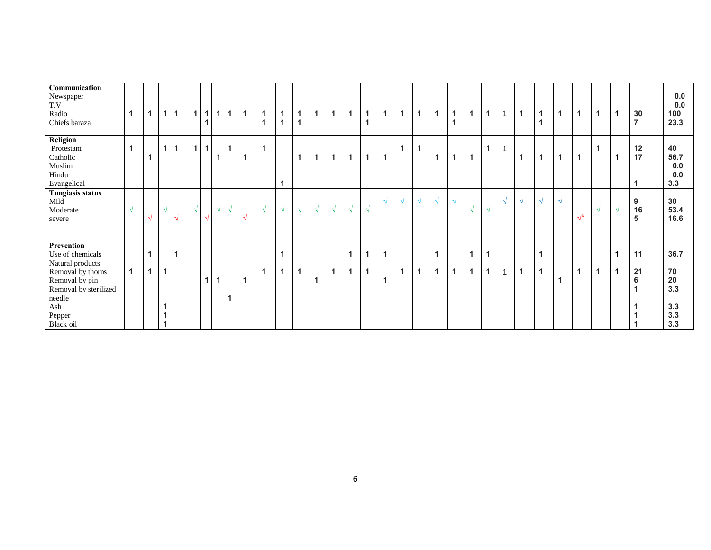| Communication<br>Newspaper<br>T.V<br>Radio<br>Chiefs baraza                                                                                                | $\blacktriangleleft$ | 1          | 1                                                      | 1            | 1              | $\mathbf{1}$<br>1 | 1 <sup>1</sup> | $\mathbf{1}$ | $\overline{1}$ | 1<br>1     | 1<br>1     | 1<br>$\mathbf{1}$ | 1          | $\overline{1}$ | $\mathbf{1}$                     | 1<br>$\overline{1}$ | 1                   | 1          | 1          | 1                 | $\blacktriangleleft$<br>$\overline{1}$ | $\overline{1}$                   | $\mathbf{1}$                 | $\mathbf{1}$ | $\mathbf{1}$            | $\mathbf{1}$<br>$\overline{1}$ | $\overline{1}$ | 1              | $\mathbf{1}$ |   | 30<br>$\overline{7}$ | 0.0<br>0.0<br>100<br>23.3                    |
|------------------------------------------------------------------------------------------------------------------------------------------------------------|----------------------|------------|--------------------------------------------------------|--------------|----------------|-------------------|----------------|--------------|----------------|------------|------------|-------------------|------------|----------------|----------------------------------|---------------------|---------------------|------------|------------|-------------------|----------------------------------------|----------------------------------|------------------------------|--------------|-------------------------|--------------------------------|----------------|----------------|--------------|---|----------------------|----------------------------------------------|
| Religion<br>Protestant<br>Catholic<br>Muslim<br>Hindu<br>Evangelical                                                                                       | $\mathbf{1}$         |            | 1                                                      | $\mathbf{1}$ | $\overline{1}$ | $\mathbf{1}$      | $\mathbf{1}$   | $\mathbf{1}$ | -1             | 1          | 1          | 1                 | 1          | $\overline{1}$ | $\overline{1}$                   | 1                   | 1                   | 1          | 1          | 1                 | 1                                      | $\overline{1}$                   | 1                            | 1            | $\overline{\mathbf{1}}$ | $\mathbf{1}$                   | $\overline{1}$ | $\overline{1}$ | $\mathbf{1}$ | 1 | 12<br>17             | 40<br>56.7<br>0.0<br>0.0<br>3.3              |
| Tungiasis status<br>Mild<br>Moderate<br>severe                                                                                                             | $\sqrt{ }$           | $\sqrt{2}$ | Ä                                                      | N            | $\sqrt{ }$     | $\Delta$          | $\sqrt{}$      | $\sqrt{ }$   | N              | $\sqrt{ }$ | $\sqrt{ }$ | $\sqrt{ }$        | $\sqrt{ }$ | $\sqrt{ }$     | $\sqrt{ }$                       | $\sqrt{ }$          | ٦I                  | $\sqrt{ }$ | $\sqrt{ }$ | $\sqrt{ }$        | $\sqrt{ }$                             | $\sqrt{ }$                       | $\sqrt{ }$                   | $\sqrt{ }$   | $\sqrt{}$               | $\sqrt{ }$                     | $\sqrt{ }$     | $\sqrt{c}$     | $\sqrt{ }$   |   | 9<br>16<br>5         | 30<br>53.4<br>16.6                           |
| Prevention<br>Use of chemicals<br>Natural products<br>Removal by thorns<br>Removal by pin<br>Removal by sterilized<br>needle<br>Ash<br>Pepper<br>Black oil | $\blacktriangleleft$ | 1<br>1     | $\blacktriangleleft$<br>$\blacktriangleleft$<br>1<br>1 | 1            |                | 1                 | $\mathbf{1}$   | 1            | $\overline{1}$ | 1          | 1<br>1     | 1                 | 1          | $\overline{A}$ | $\overline{1}$<br>$\overline{1}$ | 1<br>1              | $\overline{1}$<br>1 | 1          | 1          | 1<br>$\mathbf{1}$ | $\overline{1}$                         | $\overline{1}$<br>$\overline{1}$ | $\mathbf{1}$<br>$\mathbf{1}$ | $\mathbf{1}$ | $\mathbf{1}$            | 1<br>$\mathbf{1}$              | $\mathbf 1$    | $\overline{1}$ | $\mathbf{1}$ |   | 11<br>21<br>$\bf 6$  | 36.7<br>70<br>20<br>3.3<br>3.3<br>3.3<br>3.3 |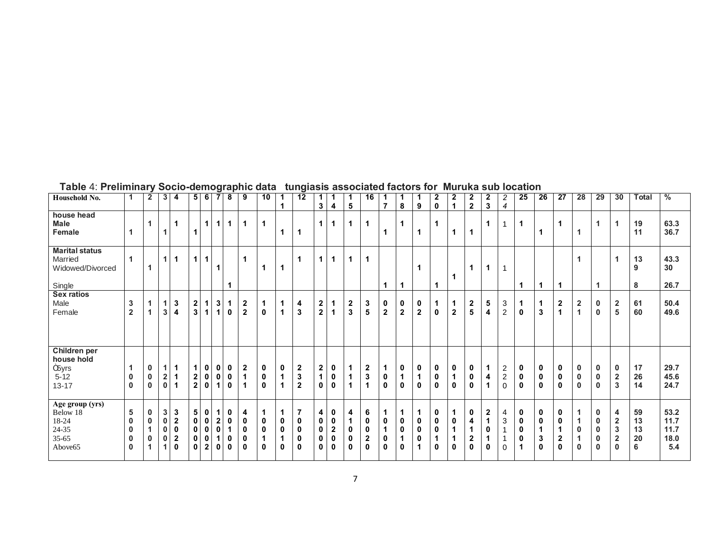| Household No.                                                             | 1                                                             | $\overline{2}$                          | 3                                                          | 4                                              | 5 <sup>5</sup>                              | 6                                                       | $\overline{7}$                                          | 8                               | 9                               | 10                    | 1                                         | 12                                                                   | 1                                           |                                      |                   | 16                                          | $\overline{7}$                                 | 1                                     |                   | 2                     | 2<br>1           | 2                           | 2<br>3                          | $\overline{a}$                                  | 25                                                | 26                                                           | 27                                                                      | 28                                         | 29                                                                      | 30                                                                          | <b>Total</b>              | %                                   |
|---------------------------------------------------------------------------|---------------------------------------------------------------|-----------------------------------------|------------------------------------------------------------|------------------------------------------------|---------------------------------------------|---------------------------------------------------------|---------------------------------------------------------|---------------------------------|---------------------------------|-----------------------|-------------------------------------------|----------------------------------------------------------------------|---------------------------------------------|--------------------------------------|-------------------|---------------------------------------------|------------------------------------------------|---------------------------------------|-------------------|-----------------------|------------------|-----------------------------|---------------------------------|-------------------------------------------------|---------------------------------------------------|--------------------------------------------------------------|-------------------------------------------------------------------------|--------------------------------------------|-------------------------------------------------------------------------|-----------------------------------------------------------------------------|---------------------------|-------------------------------------|
| house head<br>Male<br>Female                                              | $\mathbf{1}$                                                  | 1                                       | 1                                                          | $\mathbf 1$                                    | $\mathbf{1}$                                | $\mathbf{1}$                                            | $\mathbf{1}$                                            | $\mathbf 1$                     | $\mathbf{1}$                    | 1                     | 1                                         | 1                                                                    | 3<br>$\mathbf 1$                            | 4<br>$\mathbf{1}$                    | 5<br>$\mathbf{1}$ | 1                                           | 1                                              | 8<br>1                                | 9                 | 0                     | 1                | $\overline{2}$              | 1                               | $\overline{4}$                                  | 1                                                 | $\blacktriangleleft$                                         | 1                                                                       |                                            | $\overline{1}$                                                          | $\mathbf 1$                                                                 | 19<br>11                  | 63.3<br>36.7                        |
| <b>Marital status</b><br>Married<br>Widowed/Divorced<br>Single            | $\mathbf{1}$                                                  | 1                                       | $\mathbf{1}$                                               | $\blacktriangleleft$                           | $\mathbf 1$                                 | $\mathbf{1}$                                            | 1                                                       |                                 | $\mathbf 1$                     | 1                     | 1                                         | 1                                                                    | 1                                           | 1                                    | $\mathbf{1}$      | 1                                           | 1                                              | 1                                     |                   |                       |                  |                             | 1                               |                                                 | 1                                                 | $\mathbf 1$                                                  | $\mathbf 1$                                                             |                                            | 1                                                                       | 1                                                                           | 13<br>9<br>8              | 43.3<br>30<br>26.7                  |
| Sex ratios<br>Male<br>Female                                              | 3<br>$\overline{\mathbf{2}}$                                  | 1<br>1                                  | $\mathbf{1}$<br>3                                          | 3<br>4                                         | $\mathbf 2$<br>3                            | 1<br>1                                                  | $3\phantom{a}$<br>$\mathbf{1}$                          | $\mathbf 1$<br>0                | $\boldsymbol{2}$<br>$\mathbf 2$ | 1<br>0                | 1<br>1                                    | 4<br>$\mathbf{3}$                                                    | $\boldsymbol{2}$<br>$\overline{\mathbf{2}}$ | 1<br>1                               | 2<br>3            | 3<br>5                                      | 0<br>$\overline{2}$                            | $\pmb{0}$<br>$\overline{\mathbf{2}}$  | 0<br>$\mathbf 2$  | 1<br>0                | 1<br>$\mathbf 2$ | 2<br>5                      | 5<br>4                          | 3<br>$\boldsymbol{2}$                           | 1<br>$\pmb{0}$                                    | 1<br>$\mathbf 3$                                             | $\mathbf 2$<br>$\mathbf{1}$                                             | $\overline{2}$<br>$\overline{1}$           | $\mathbf 0$<br>$\mathbf 0$                                              | $\overline{2}$<br>5                                                         | 61<br>60                  | 50.4<br>49.6                        |
| Children per<br>house hold<br>m <sub>5</sub> yrs<br>$5 - 12$<br>$13 - 17$ | -1<br>0<br>$\mathbf 0$                                        | 0<br>$\mathbf 0$<br>$\bf{0}$            | $\mathbf{1}$<br>$\overline{\mathbf{2}}$<br>$\mathbf 0$     | $\mathbf 1$<br>-1<br>$\blacktriangleleft$      | 1<br>$\mathbf 2$<br>$\overline{\mathbf{2}}$ | 0<br>$\pmb{0}$<br>$\pmb{0}$                             | 0<br>$\mathbf 0$<br>$\mathbf{1}$                        | 0<br>0<br>0                     | $\boldsymbol{2}$<br>1<br>1      | 0<br>0<br>0           | 0<br>$\mathbf 1$<br>1                     | $\boldsymbol{2}$<br>3<br>$\overline{\mathbf{2}}$                     | $\overline{\mathbf{c}}$<br>1<br>$\mathbf 0$ | 0<br>0<br>0                          |                   | 2<br>3<br>1                                 | 1<br>$\pmb{0}$<br>$\mathbf 0$                  | 0<br>1<br>0                           | 0<br>$\mathbf{0}$ | 0<br>0<br>$\mathbf 0$ | 0<br>1<br>0      | 0<br>0<br>0                 | $\mathbf 1$<br>4<br>1           | $\overline{c}$<br>$\overline{c}$<br>$\mathbf 0$ | 0<br>$\pmb{0}$<br>$\mathbf 0$                     | 0<br>$\pmb{0}$<br>$\mathbf 0$                                | 0<br>$\pmb{0}$<br>$\mathbf 0$                                           | $\mathbf 0$<br>$\mathbf 0$<br>$\mathbf{0}$ | $\mathbf 0$<br>$\mathbf 0$<br>$\mathbf{0}$                              | 0<br>$\mathbf{2}$<br>3                                                      | 17<br>26<br>14            | 29.7<br>45.6<br>24.7                |
| Age group (yrs)<br>Below 18<br>18-24<br>$24 - 35$<br>$35 - 65$<br>Above65 | 5<br>$\mathbf 0$<br>$\mathbf 0$<br>$\mathbf 0$<br>$\mathbf 0$ | 0<br>$\mathbf{0}$<br>1<br>$\bf{0}$<br>1 | $\mathbf{3}$<br>$\pmb{0}$<br>$\pmb{0}$<br>$\mathbf 0$<br>1 | 3<br>$\mathbf 2$<br>0<br>$\boldsymbol{2}$<br>0 | 5<br>$\pmb{0}$<br>$\pmb{0}$<br>0<br>0       | 0<br>$\pmb{0}$<br>$\pmb{0}$<br>$\pmb{0}$<br>$\mathbf 2$ | $\mathbf{1}$<br>$\boldsymbol{2}$<br>$\pmb{0}$<br>1<br>0 | 0<br>0<br>$\mathbf 1$<br>0<br>0 | 4<br>0<br>0<br>0<br>0           | 1<br>0<br>0<br>1<br>0 | $\mathbf 1$<br>$\mathbf 0$<br>0<br>1<br>0 | $\overline{7}$<br>$\pmb{0}$<br>$\pmb{0}$<br>$\pmb{0}$<br>$\mathbf 0$ | 4<br>$\bf{0}$<br>$\bf{0}$<br>$\bf{0}$<br>0  | 0<br>0<br>$\bf{2}$<br>$\pmb{0}$<br>0 | 4<br>0<br>0<br>0  | 6<br>$\pmb{0}$<br>$\pmb{0}$<br>$\bf 2$<br>0 | 1<br>$\pmb{0}$<br>$\mathbf 1$<br>$\bf{0}$<br>0 | 1<br>$\pmb{0}$<br>$\pmb{0}$<br>1<br>0 | 0<br>0<br>0       | 0<br>0<br>0<br>0      | 1<br>0<br>0      | 0<br>4<br>$\mathbf{2}$<br>0 | 2<br>$\mathbf 1$<br>0<br>1<br>0 | 4<br>$\mathsf 3$<br>$\mathbf{1}$<br>0           | 0<br>$\pmb{0}$<br>$\mathbf 0$<br>$\mathbf 0$<br>1 | 0<br>$\pmb{0}$<br>$\mathbf{1}$<br>$\mathbf 3$<br>$\mathbf 0$ | $\mathbf 0$<br>$\pmb{0}$<br>$\mathbf{1}$<br>$\mathbf 2$<br>$\mathbf{0}$ | $\mathbf 0$<br>$\mathbf 0$                 | $\mathbf 0$<br>$\mathbf 0$<br>$\mathbf 0$<br>$\mathbf 0$<br>$\mathbf 0$ | 4<br>$\overline{\mathbf{2}}$<br>$\mathbf 3$<br>$\overline{\mathbf{2}}$<br>0 | 59<br>13<br>13<br>20<br>6 | 53.2<br>11.7<br>11.7<br>18.0<br>5.4 |

# **Table** 4: **Preliminary Socio-demographic data tungiasis associated factors for Muruka sub location**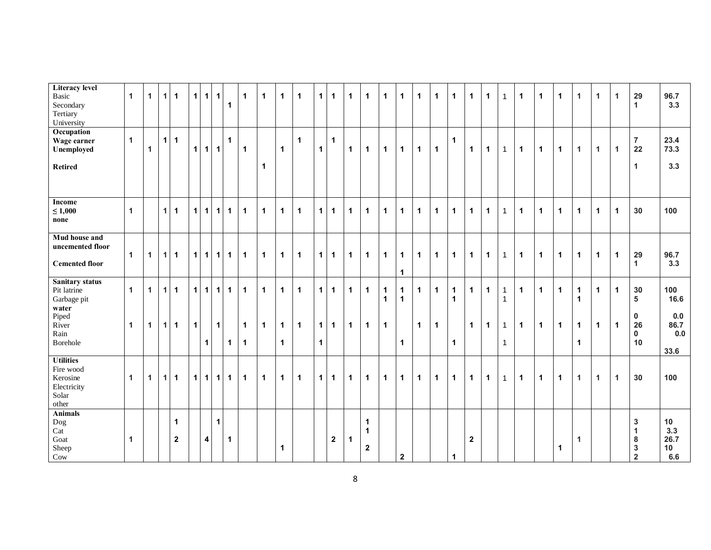| <b>Literacy level</b><br>Basic<br>Secondary<br>Tertiary<br>University      | $\mathbf{1}$         | $\mathbf 1$  | $\mathbf{1}$   | $\overline{1}$                         | 1         | $\mathbf{1}$            | $\mathbf{1}$         | $\mathbf{1}$ | $\mathbf 1$                 | $\mathbf{1}$ | $\mathbf{1}$                         | $\mathbf{1}$ | 1 <sup>1</sup>                | $\mathbf{1}$ | $\mathbf{1}$ | $\mathbf{1}$                         | $\mathbf 1$                  | $\mathbf 1$                 | $\mathbf 1$  | $\mathbf 1$    | $\mathbf 1$                 | $\mathbf{1}$   | $\mathbf{1}$ | $\mathbf{1}$                 | $\mathbf{1}$ | $\mathbf{1}$ | $\mathbf{1}$ | 1                         | $\mathbf{1}$ | $\mathbf{1}$         | 29<br>$\mathbf{1}$                                               | 96.7<br>3.3                                 |
|----------------------------------------------------------------------------|----------------------|--------------|----------------|----------------------------------------|-----------|-------------------------|----------------------|--------------|-----------------------------|--------------|--------------------------------------|--------------|-------------------------------|--------------|--------------|--------------------------------------|------------------------------|-----------------------------|--------------|----------------|-----------------------------|----------------|--------------|------------------------------|--------------|--------------|--------------|---------------------------|--------------|----------------------|------------------------------------------------------------------|---------------------------------------------|
| Occupation<br>Wage earner<br>Unemployed<br><b>Retired</b>                  | $\mathbf{1}$         | $\mathbf{1}$ | 1 <sup>1</sup> | $\blacktriangleleft$                   | 1         | $\vert$ 1               | $\mathbf{1}$         | $\mathbf{1}$ | $\mathbf{1}$                | $\mathbf{1}$ | $\mathbf{1}$                         | $\mathbf{1}$ | $\mathbf{1}$                  | $\mathbf{1}$ | $\mathbf{1}$ | $\mathbf{1}$                         | $\mathbf{1}$                 | $\mathbf{1}$                | $\mathbf 1$  | $\mathbf{1}$   | $\mathbf 1$                 | $\mathbf 1$    | $\mathbf{1}$ | $\mathbf{1}$                 | $\mathbf{1}$ | $\mathbf{1}$ | $\mathbf{1}$ | 1                         | $\mathbf{1}$ | $\blacktriangleleft$ | $\overline{7}$<br>22<br>$\mathbf{1}$                             | 23.4<br>73.3<br>3.3                         |
| Income<br>$\leq 1,000$<br>none                                             | $\blacktriangleleft$ |              | $\vert$ 1      | $\blacktriangleleft$                   | 1         | $\vert$ 1               | $\vert$ 1            | $\mathbf{1}$ | $\mathbf{1}$                | $\mathbf{1}$ | $\mathbf{1}$                         | $\mathbf{1}$ | 1 <sup>1</sup>                | $\mathbf{1}$ | $\mathbf{1}$ | $\mathbf 1$                          | $\mathbf{1}$                 | $\mathbf 1$                 | $\mathbf{1}$ | $\mathbf 1$    | $\mathbf{1}$                | $\mathbf{1}$   | $\mathbf{1}$ | $\mathbf{1}$                 | $\mathbf{1}$ | $\mathbf{1}$ | $\mathbf{1}$ | 1                         | $\mathbf{1}$ | $\mathbf{1}$         | 30                                                               | 100                                         |
| <b>Mud house and</b><br>uncemented floor<br><b>Cemented floor</b>          | $\mathbf{1}$         | $\mathbf{1}$ | 1              | $\mathbf{1}$                           |           |                         | $1$   1   1          | $\mathbf{1}$ | $\mathbf 1$                 | $\mathbf{1}$ | $\mathbf{1}$                         | $\mathbf{1}$ | 1                             | $\mathbf 1$  | $\mathbf 1$  | $\mathbf 1$                          | $\mathbf 1$                  | $\mathbf 1$<br>$\mathbf 1$  | $\mathbf 1$  | $\vert$ 1      | $\mathbf 1$                 | $\mathbf 1$    | $\mathbf{1}$ | $\mathbf{1}$                 | $\mathbf{1}$ | $\mathbf{1}$ | $\mathbf{1}$ | $\mathbf{1}$              | $\mathbf{1}$ | $\blacktriangleleft$ | 29<br>$\mathbf{1}$                                               | 96.7<br>3.3                                 |
| <b>Sanitary status</b><br>Pit latrine<br>Garbage pit                       | $\mathbf{1}$         | $\mathbf{1}$ | $\mathbf{1}$   | $\overline{1}$                         | $\vert$ 1 | $\overline{1}$          | 1                    | $\mathbf 1$  | $\mathbf{1}$                | $\mathbf 1$  | $\mathbf{1}$                         | $\mathbf{1}$ | 1 <sup>1</sup>                | $\mathbf{1}$ | $\mathbf 1$  | $\mathbf 1$                          | $\mathbf{1}$<br>$\mathbf{1}$ | $\mathbf 1$<br>$\mathbf{1}$ | $\mathbf 1$  | $\mathbf 1$    | $\mathbf 1$<br>$\mathbf{1}$ | $\mathbf 1$    | $\mathbf 1$  | $\mathbf{1}$<br>$\mathbf{1}$ | $\mathbf{1}$ | $\mathbf{1}$ | $\mathbf{1}$ | 1<br>$\blacktriangleleft$ | $\mathbf{1}$ | $\mathbf{1}$         | 30<br>5                                                          | 100<br>16.6                                 |
| water<br>Piped<br>River<br>Rain<br>Borehole                                | $\mathbf{1}$         | $\mathbf{1}$ |                | $1$   1                                | $\vert$ 1 | $\vert$ 1               | $\vert$ 1            | $\mathbf{1}$ | $\mathbf 1$<br>$\mathbf{1}$ | $\mathbf 1$  | $\mathbf{1}$<br>$\blacktriangleleft$ | $\mathbf{1}$ | 1 <sup>1</sup><br>$\mathbf 1$ | $\mathbf 1$  | $\mathbf 1$  | $\mathbf 1$                          | $\mathbf 1$                  | $\mathbf{1}$                | $\mathbf 1$  | $\overline{1}$ | $\mathbf 1$                 | $\mathbf 1$    | $\mathbf 1$  | $\mathbf{1}$<br>$\mathbf{1}$ | $\mathbf{1}$ | $\mathbf 1$  | $\mathbf{1}$ | $\mathbf{1}$<br>1         | $\mathbf 1$  | $\mathbf{1}$         | $\mathbf 0$<br>26<br>$\mathbf 0$<br>10                           | 0.0<br>86.7<br>0.0<br>33.6                  |
| <b>Utilities</b><br>Fire wood<br>Kerosine<br>Electricity<br>Solar<br>other | $\blacktriangleleft$ | $\mathbf{1}$ | $\mathbf{1}$   | $\blacktriangleleft$                   |           |                         | $1$   1  1           | $\mathbf{1}$ | $\mathbf{1}$                | $\mathbf{1}$ | $\mathbf{1}$                         | $\mathbf{1}$ | 1 <sup>1</sup>                | $\mathbf 1$  | $\mathbf 1$  | $\mathbf{1}$                         | $\mathbf 1$                  | $\mathbf{1}$                | $\mathbf 1$  | $\mathbf 1$    | $\mathbf{1}$                | $\mathbf{1}$   | $\mathbf{1}$ | $\mathbf{1}$                 | $\mathbf{1}$ | $\mathbf{1}$ | $\mathbf{1}$ | 1                         | $\mathbf{1}$ | $\mathbf{1}$         | 30                                                               | 100                                         |
| <b>Animals</b><br>Dog<br>Cat<br>Goat<br>Sheep<br>$_{\text{Cow}}$           | $\blacktriangleleft$ |              |                | $\blacktriangleleft$<br>$\overline{2}$ |           | $\overline{\mathbf{4}}$ | $\blacktriangleleft$ | $\mathbf{1}$ |                             |              | $\mathbf 1$                          |              |                               | $\mathbf{2}$ | $\mathbf 1$  | $\mathbf 1$<br>1<br>$\boldsymbol{2}$ |                              | $\mathbf{2}$                |              |                | 1                           | $\overline{2}$ |              |                              |              |              | $\mathbf{1}$ | 1                         |              |                      | $\mathbf{3}$<br>1<br>8<br>$\mathbf 3$<br>$\overline{\mathbf{2}}$ | 10 <sup>°</sup><br>3.3<br>26.7<br>10<br>6.6 |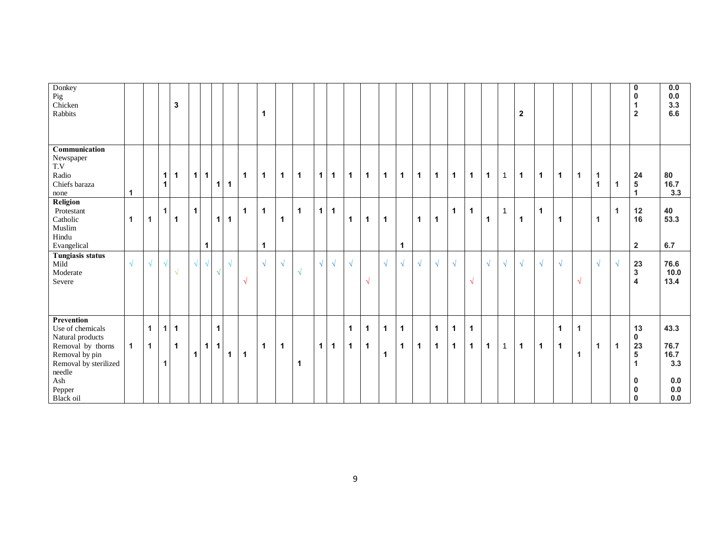| Donkey<br>Pig<br>Chicken<br>Rabbits                                                                                                                        |                      |                              |                   | $\mathbf 3$                            |              |              |                   |             |              | $\mathbf 1$                 |                |                         |             |              |                              |                             |                              |                             |              |                            |                            |                  |              |              | $\overline{2}$ |              |                   |                                      |                              |              | $\mathbf 0$<br>$\mathbf{0}$<br>$\overline{2}$                         | 0.0<br>0.0<br>3.3<br>6.6                                 |
|------------------------------------------------------------------------------------------------------------------------------------------------------------|----------------------|------------------------------|-------------------|----------------------------------------|--------------|--------------|-------------------|-------------|--------------|-----------------------------|----------------|-------------------------|-------------|--------------|------------------------------|-----------------------------|------------------------------|-----------------------------|--------------|----------------------------|----------------------------|------------------|--------------|--------------|----------------|--------------|-------------------|--------------------------------------|------------------------------|--------------|-----------------------------------------------------------------------|----------------------------------------------------------|
| Communication<br>Newspaper<br>T.V<br>Radio<br>Chiefs baraza<br>none                                                                                        | $\mathbf{1}$         |                              | 1<br>$\mathbf{1}$ | $\vert$ 1                              |              | $1$ 1        | 1                 | $\mathbf 1$ | $\mathbf{1}$ | $\mathbf{1}$                | $\overline{1}$ | $\overline{\mathbf{1}}$ | 1           | $\mathbf{1}$ | $\mathbf 1$                  | $\mathbf 1$                 | $\overline{1}$               | $\mathbf{1}$                | $\mathbf 1$  | $\mathbf 1$                | $\mathbf 1$                | $\mathbf{1}$     | $\mathbf 1$  | $\mathbf{1}$ | $\mathbf 1$    | $\mathbf{1}$ | $\mathbf{1}$      | $\mathbf{1}$                         | $\mathbf{1}$<br>$\mathbf{1}$ | $\mathbf{1}$ | 24<br>$\sqrt{5}$                                                      | 80<br>16.7<br>3.3                                        |
| Religion<br>Protestant<br>Catholic<br>Muslim<br>Hindu<br>Evangelical                                                                                       | $\blacktriangleleft$ | $\mathbf{1}$                 | 1                 | $\overline{\mathbf{1}}$                | $\mathbf{1}$ | $\mathbf 1$  | 1                 | $\mathbf 1$ | $\mathbf{1}$ | $\mathbf 1$<br>$\mathbf{1}$ | $\mathbf 1$    | $\mathbf{1}$            | $\mathbf 1$ | $\mathbf{1}$ | $\mathbf 1$                  | $\mathbf 1$                 | $\mathbf{1}$                 | $\mathbf{1}$                | $\mathbf{1}$ | $\mathbf 1$                | $\mathbf 1$                | $\mathbf 1$      | $\mathbf{1}$ | $\mathbf{1}$ | $\mathbf 1$    | $\mathbf 1$  | $\mathbf{1}$      |                                      | 1                            | $\mathbf{1}$ | 12<br>16<br>$\overline{2}$                                            | 40<br>53.3<br>6.7                                        |
| Tungiasis status<br>Mild<br>Moderate<br>Severe                                                                                                             | $\sqrt{ }$           | $\sqrt{}$                    |                   | $\sqrt{ }$                             | $\sqrt{2}$   | $\sqrt{ }$   |                   | $\sqrt{ }$  | $\sqrt{ }$   | $\sqrt{ }$                  | $\sqrt{ }$     | $\sqrt{ }$              | $\sqrt{ }$  | $\sqrt{ }$   | $\sqrt{ }$                   | $\sqrt{ }$                  | $\sqrt{ }$                   | $\sqrt{ }$                  | $\sqrt{ }$   | $\sqrt{ }$                 | $\sqrt{ }$                 | $\sqrt{ }$       | $\sqrt{ }$   | $\sqrt{ }$   | $\sqrt{ }$     | $\sqrt{ }$   | $\sqrt{}$         | $\sqrt{ }$                           | $\sqrt{2}$                   | $\sqrt{ }$   | 23<br>3<br>4                                                          | 76.6<br>10.0<br>13.4                                     |
| Prevention<br>Use of chemicals<br>Natural products<br>Removal by thorns<br>Removal by pin<br>Removal by sterilized<br>needle<br>Ash<br>Pepper<br>Black oil | $\mathbf{1}$         | $\mathbf{1}$<br>$\mathbf{1}$ | 1<br>$\mathbf{1}$ | $\overline{1}$<br>$\blacktriangleleft$ | $\mathbf{1}$ | $\mathbf{1}$ | $\mathbf{1}$<br>1 | $\mathbf 1$ | $\mathbf{1}$ | $\mathbf 1$                 | $\mathbf{1}$   | $\mathbf{1}$            | 1           | $\mathbf{1}$ | $\mathbf{1}$<br>$\mathbf{1}$ | $\mathbf 1$<br>$\mathbf{1}$ | $\mathbf{1}$<br>$\mathbf{1}$ | $\mathbf 1$<br>$\mathbf{1}$ | $\mathbf{1}$ | $\mathbf 1$<br>$\mathbf 1$ | $\mathbf 1$<br>$\mathbf 1$ | 1<br>$\mathbf 1$ | $\mathbf 1$  | $\mathbf{1}$ | $\mathbf 1$    | $\mathbf 1$  | 1<br>$\mathbf{1}$ | $\mathbf{1}$<br>$\blacktriangleleft$ | $\mathbf{1}$                 | $\mathbf{1}$ | 13<br>$\mathbf 0$<br>23<br>5<br>1<br>$\mathbf{0}$<br>0<br>$\mathbf 0$ | 43.3<br>76.7<br>16.7<br>3.3<br>0.0<br>$0.0\,$<br>$0.0\,$ |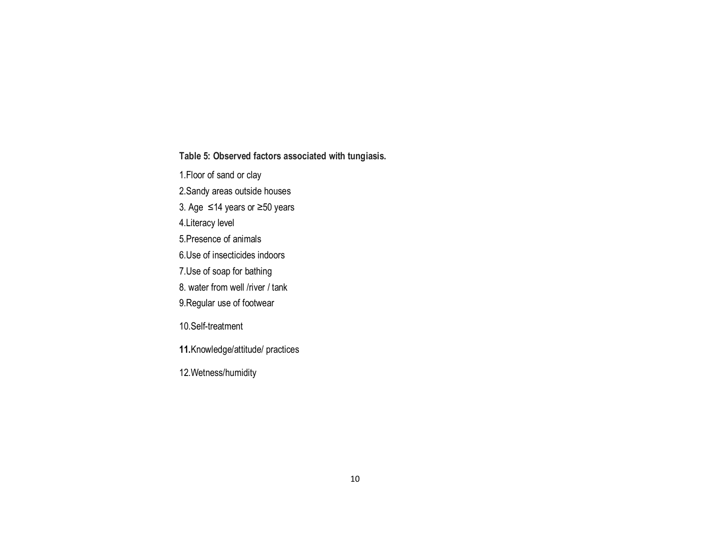**Table 5: Observed factors associated with tungiasis.**

1.Floor of sand or clay

2.Sandy areas outside houses

3. Age ≤14 years or ≥50 years

4.Literacy level

5.Presence of animals

6.Use of insecticides indoors

7.Use of soap for bathing

8. water from well /river / tank

9.Regular use of footwear

10.Self-treatment

**11.**Knowledge/attitude/ practices

12.Wetness/humidity